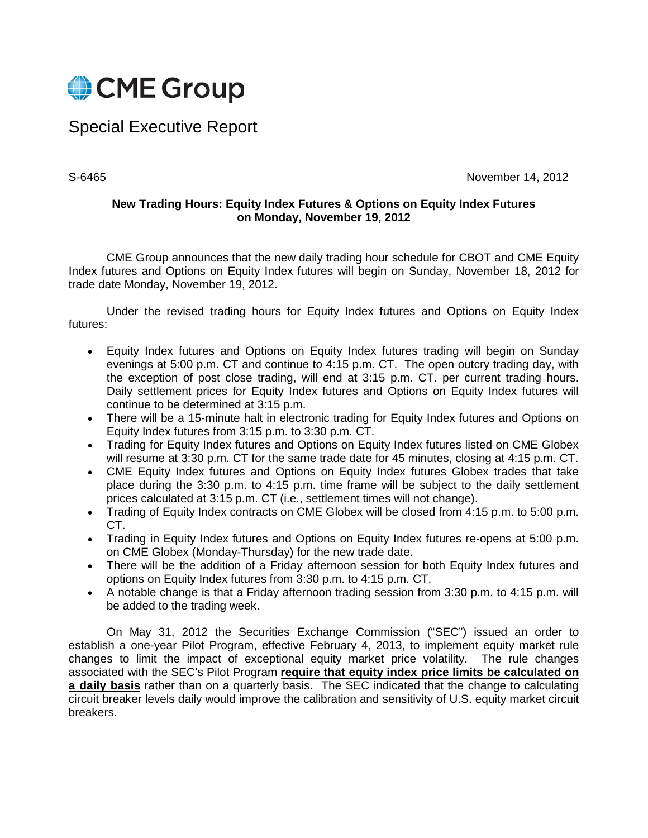

Special Executive Report

S-6465 November 14, 2012

## **New Trading Hours: Equity Index Futures & Options on Equity Index Futures on Monday, November 19, 2012**

CME Group announces that the new daily trading hour schedule for CBOT and CME Equity Index futures and Options on Equity Index futures will begin on Sunday, November 18, 2012 for trade date Monday, November 19, 2012.

Under the revised trading hours for Equity Index futures and Options on Equity Index futures:

- Equity Index futures and Options on Equity Index futures trading will begin on Sunday evenings at 5:00 p.m. CT and continue to 4:15 p.m. CT. The open outcry trading day, with the exception of post close trading, will end at 3:15 p.m. CT. per current trading hours. Daily settlement prices for Equity Index futures and Options on Equity Index futures will continue to be determined at 3:15 p.m.
- There will be a 15-minute halt in electronic trading for Equity Index futures and Options on Equity Index futures from 3:15 p.m. to 3:30 p.m. CT.
- Trading for Equity Index futures and Options on Equity Index futures listed on CME Globex will resume at 3:30 p.m. CT for the same trade date for 45 minutes, closing at 4:15 p.m. CT.
- CME Equity Index futures and Options on Equity Index futures Globex trades that take place during the 3:30 p.m. to 4:15 p.m. time frame will be subject to the daily settlement prices calculated at 3:15 p.m. CT (i.e., settlement times will not change).
- Trading of Equity Index contracts on CME Globex will be closed from 4:15 p.m. to 5:00 p.m. CT.
- Trading in Equity Index futures and Options on Equity Index futures re-opens at 5:00 p.m. on CME Globex (Monday-Thursday) for the new trade date.
- There will be the addition of a Friday afternoon session for both Equity Index futures and options on Equity Index futures from 3:30 p.m. to 4:15 p.m. CT.
- A notable change is that a Friday afternoon trading session from 3:30 p.m. to 4:15 p.m. will be added to the trading week.

On May 31, 2012 the Securities Exchange Commission ("SEC") issued an order to establish a one-year Pilot Program, effective February 4, 2013, to implement equity market rule changes to limit the impact of exceptional equity market price volatility. The rule changes associated with the SEC's Pilot Program **require that equity index price limits be calculated on a daily basis** rather than on a quarterly basis. The SEC indicated that the change to calculating circuit breaker levels daily would improve the calibration and sensitivity of U.S. equity market circuit breakers.